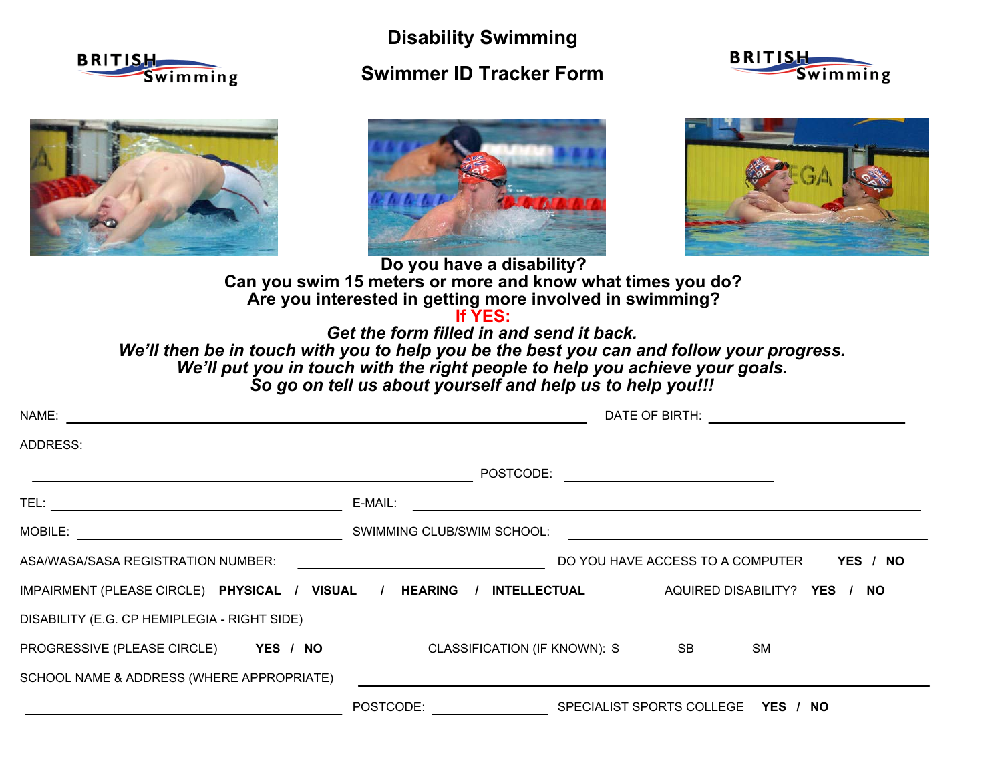

**Disability Swimming Swimmer ID Tracker Form**









**Can you swim 15 meters or more and know what times you do? Are you interested in getting more involved in swimming? Do you have a disability?**

**If YES:**

 *Get the form filled in and send it back.So go on tell us about yourself and help us to help you!!! We'll then be in touch with you to help you be the best you can and follow your progress. We'll put you in touch with the right people to help you achieve your goals.*

| NAME: www.communication.com/web/2010/07/2010                         |                                                                                                                                  |  |
|----------------------------------------------------------------------|----------------------------------------------------------------------------------------------------------------------------------|--|
|                                                                      |                                                                                                                                  |  |
|                                                                      | POSTCODE: ____________________________                                                                                           |  |
|                                                                      | E-MAIL:<br><u> 1989 - Johann John Stone, markin film yn y brening yn y brening yn y brening yn y brening yn y brening yn y b</u> |  |
|                                                                      |                                                                                                                                  |  |
|                                                                      |                                                                                                                                  |  |
| IMPAIRMENT (PLEASE CIRCLE) PHYSICAL / VISUAL / HEARING /             | INTELLECTUAL AQUIRED DISABILITY? YES / NO                                                                                        |  |
|                                                                      |                                                                                                                                  |  |
| PROGRESSIVE (PLEASE CIRCLE) YES / NO CLASSIFICATION (IF KNOWN): S SB | <b>SM</b>                                                                                                                        |  |
| SCHOOL NAME & ADDRESS (WHERE APPROPRIATE)                            |                                                                                                                                  |  |
|                                                                      | POSTCODE:<br>SPECIALIST SPORTS COLLEGE YES / NO                                                                                  |  |